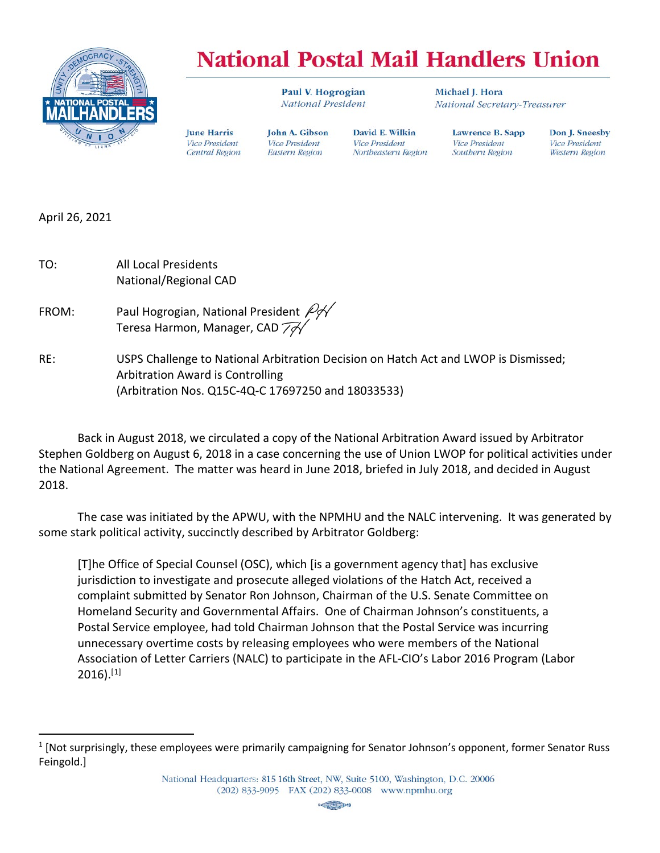

## **National Postal Mail Handlers Union**

David E. Wilkin

Northeastern Region

**Vice President** 

Paul V. Hogrogian National President

John A. Gibson

**Vice President** 

Eastern Region

Michael I. Hora National Secretary-Treasurer

Lawrence B. Sapp **Vice President** Southern Region

Don J. Sneesby **Vice President** Western Region

April 26, 2021

TO: All Local Presidents National/Regional CAD

FROM: Paul Hogrogian, National President  $\cancel{\varphi}$ Teresa Harmon, Manager, CAD  $\widetilde{\mathcal{A}}$ 

**June Harris** 

**Vice President** 

Central Region

RE: USPS Challenge to National Arbitration Decision on Hatch Act and LWOP is Dismissed; Arbitration Award is Controlling (Arbitration Nos. Q15C-4Q-C 17697250 and 18033533)

Back in August 2018, we circulated a copy of the National Arbitration Award issued by Arbitrator Stephen Goldberg on August 6, 2018 in a case concerning the use of Union LWOP for political activities under the National Agreement. The matter was heard in June 2018, briefed in July 2018, and decided in August 2018.

The case was initiated by the APWU, with the NPMHU and the NALC intervening. It was generated by some stark political activity, succinctly described by Arbitrator Goldberg:

[T]he Office of Special Counsel (OSC), which [is a government agency that] has exclusive jurisdiction to investigate and prosecute alleged violations of the Hatch Act, received a complaint submitted by Senator Ron Johnson, Chairman of the U.S. Senate Committee on Homeland Security and Governmental Affairs. One of Chairman Johnson's constituents, a Postal Service employee, had told Chairman Johnson that the Postal Service was incurring unnecessary overtime costs by releasing employees who were members of the National Association of Letter Carriers (NALC) to participate in the AFL-CIO's Labor 2016 Program (Labor  $2016$  $2016$  $2016$ ). $^{[1]}$ 



<span id="page-0-0"></span><sup>1</sup> [Not surprisingly, these employees were primarily campaigning for Senator Johnson's opponent, former Senator Russ Feingold.]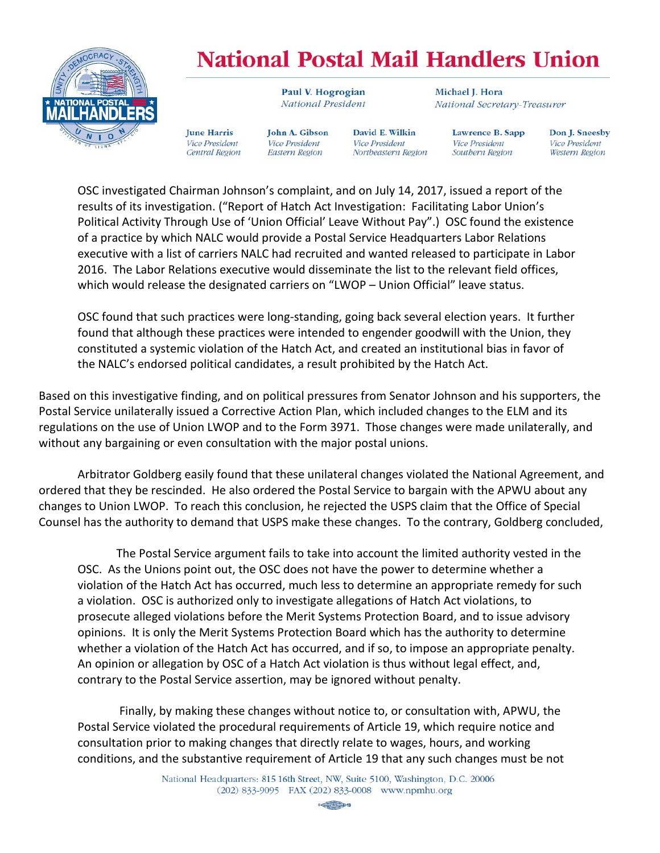

## **National Postal Mail Handlers Union**

Paul V. Hogrogian National President

**June Harris** John A. Gibson **Vice President** Vice President Central Region Eastern Region

David E. Wilkin **Vice President** Northeastern Region Michael I. Hora National Secretary-Treasurer

> Lawrence B. Sapp **Vice President** Southern Region

Don J. Sneesby **Vice President** Western Region

OSC investigated Chairman Johnson's complaint, and on July 14, 2017, issued a report of the results of its investigation. ("Report of Hatch Act Investigation: Facilitating Labor Union's Political Activity Through Use of 'Union Official' Leave Without Pay".) OSC found the existence of a practice by which NALC would provide a Postal Service Headquarters Labor Relations executive with a list of carriers NALC had recruited and wanted released to participate in Labor 2016. The Labor Relations executive would disseminate the list to the relevant field offices, which would release the designated carriers on "LWOP – Union Official" leave status.

OSC found that such practices were long-standing, going back several election years. It further found that although these practices were intended to engender goodwill with the Union, they constituted a systemic violation of the Hatch Act, and created an institutional bias in favor of the NALC's endorsed political candidates, a result prohibited by the Hatch Act.

Based on this investigative finding, and on political pressures from Senator Johnson and his supporters, the Postal Service unilaterally issued a Corrective Action Plan, which included changes to the ELM and its regulations on the use of Union LWOP and to the Form 3971. Those changes were made unilaterally, and without any bargaining or even consultation with the major postal unions.

Arbitrator Goldberg easily found that these unilateral changes violated the National Agreement, and ordered that they be rescinded. He also ordered the Postal Service to bargain with the APWU about any changes to Union LWOP. To reach this conclusion, he rejected the USPS claim that the Office of Special Counsel has the authority to demand that USPS make these changes. To the contrary, Goldberg concluded,

The Postal Service argument fails to take into account the limited authority vested in the OSC. As the Unions point out, the OSC does not have the power to determine whether a violation of the Hatch Act has occurred, much less to determine an appropriate remedy for such a violation. OSC is authorized only to investigate allegations of Hatch Act violations, to prosecute alleged violations before the Merit Systems Protection Board, and to issue advisory opinions. It is only the Merit Systems Protection Board which has the authority to determine whether a violation of the Hatch Act has occurred, and if so, to impose an appropriate penalty. An opinion or allegation by OSC of a Hatch Act violation is thus without legal effect, and, contrary to the Postal Service assertion, may be ignored without penalty.

Finally, by making these changes without notice to, or consultation with, APWU, the Postal Service violated the procedural requirements of Article 19, which require notice and consultation prior to making changes that directly relate to wages, hours, and working conditions, and the substantive requirement of Article 19 that any such changes must be not